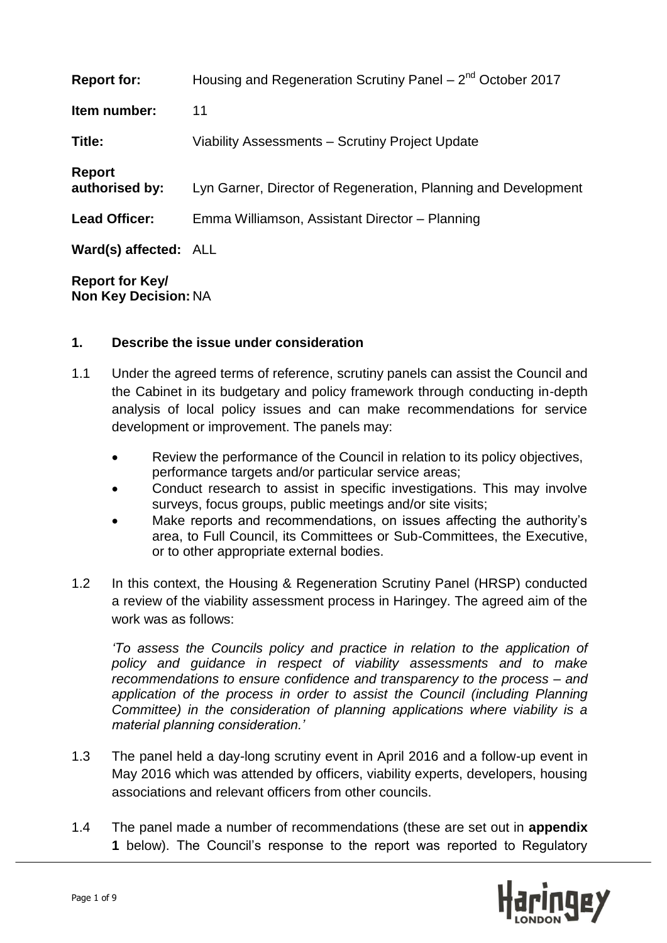| <b>Report for:</b>              | Housing and Regeneration Scrutiny Panel – $2^{nd}$ October 2017 |
|---------------------------------|-----------------------------------------------------------------|
| Item number:                    | 11                                                              |
| Title:                          | Viability Assessments – Scrutiny Project Update                 |
| <b>Report</b><br>authorised by: | Lyn Garner, Director of Regeneration, Planning and Development  |
| <b>Lead Officer:</b>            | Emma Williamson, Assistant Director - Planning                  |
| Ward(s) affected: ALL           |                                                                 |
| <b>Denemi fan Izani</b>         |                                                                 |

**Report for Key/ Non Key Decision:** NA

# **1. Describe the issue under consideration**

- 1.1 Under the agreed terms of reference, scrutiny panels can assist the Council and the Cabinet in its budgetary and policy framework through conducting in-depth analysis of local policy issues and can make recommendations for service development or improvement. The panels may:
	- Review the performance of the Council in relation to its policy objectives, performance targets and/or particular service areas;
	- Conduct research to assist in specific investigations. This may involve surveys, focus groups, public meetings and/or site visits;
	- Make reports and recommendations, on issues affecting the authority's area, to Full Council, its Committees or Sub-Committees, the Executive, or to other appropriate external bodies.
- 1.2 In this context, the Housing & Regeneration Scrutiny Panel (HRSP) conducted a review of the viability assessment process in Haringey. The agreed aim of the work was as follows:

*'To assess the Councils policy and practice in relation to the application of policy and guidance in respect of viability assessments and to make recommendations to ensure confidence and transparency to the process – and application of the process in order to assist the Council (including Planning Committee) in the consideration of planning applications where viability is a material planning consideration.'*

- 1.3 The panel held a day-long scrutiny event in April 2016 and a follow-up event in May 2016 which was attended by officers, viability experts, developers, housing associations and relevant officers from other councils.
- 1.4 The panel made a number of recommendations (these are set out in **appendix 1** below). The Council's response to the report was reported to Regulatory

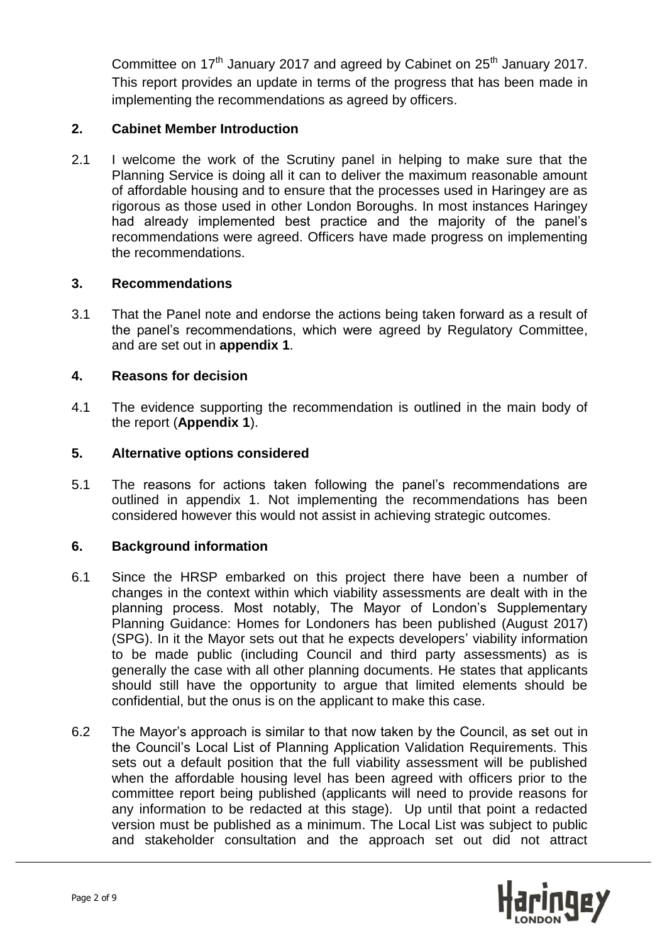Committee on 17<sup>th</sup> January 2017 and agreed by Cabinet on 25<sup>th</sup> January 2017. This report provides an update in terms of the progress that has been made in implementing the recommendations as agreed by officers.

# **2. Cabinet Member Introduction**

2.1 I welcome the work of the Scrutiny panel in helping to make sure that the Planning Service is doing all it can to deliver the maximum reasonable amount of affordable housing and to ensure that the processes used in Haringey are as rigorous as those used in other London Boroughs. In most instances Haringey had already implemented best practice and the majority of the panel's recommendations were agreed. Officers have made progress on implementing the recommendations.

## **3. Recommendations**

3.1 That the Panel note and endorse the actions being taken forward as a result of the panel's recommendations, which were agreed by Regulatory Committee, and are set out in **appendix 1**.

#### **4. Reasons for decision**

4.1 The evidence supporting the recommendation is outlined in the main body of the report (**Appendix 1**).

#### **5. Alternative options considered**

5.1 The reasons for actions taken following the panel's recommendations are outlined in appendix 1. Not implementing the recommendations has been considered however this would not assist in achieving strategic outcomes.

## **6. Background information**

- 6.1 Since the HRSP embarked on this project there have been a number of changes in the context within which viability assessments are dealt with in the planning process. Most notably, The Mayor of London's Supplementary Planning Guidance: Homes for Londoners has been published (August 2017) (SPG). In it the Mayor sets out that he expects developers' viability information to be made public (including Council and third party assessments) as is generally the case with all other planning documents. He states that applicants should still have the opportunity to argue that limited elements should be confidential, but the onus is on the applicant to make this case.
- 6.2 The Mayor's approach is similar to that now taken by the Council, as set out in the Council's Local List of Planning Application Validation Requirements. This sets out a default position that the full viability assessment will be published when the affordable housing level has been agreed with officers prior to the committee report being published (applicants will need to provide reasons for any information to be redacted at this stage). Up until that point a redacted version must be published as a minimum. The Local List was subject to public and stakeholder consultation and the approach set out did not attract

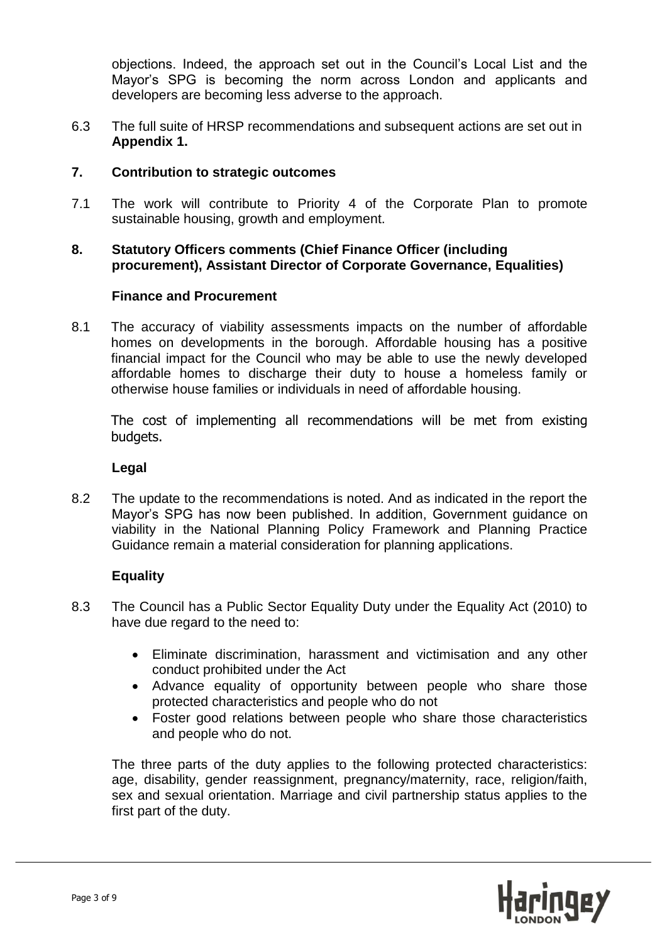objections. Indeed, the approach set out in the Council's Local List and the Mayor's SPG is becoming the norm across London and applicants and developers are becoming less adverse to the approach.

6.3 The full suite of HRSP recommendations and subsequent actions are set out in **Appendix 1.**

# **7. Contribution to strategic outcomes**

7.1 The work will contribute to Priority 4 of the Corporate Plan to promote sustainable housing, growth and employment.

# **8. Statutory Officers comments (Chief Finance Officer (including procurement), Assistant Director of Corporate Governance, Equalities)**

## **Finance and Procurement**

8.1 The accuracy of viability assessments impacts on the number of affordable homes on developments in the borough. Affordable housing has a positive financial impact for the Council who may be able to use the newly developed affordable homes to discharge their duty to house a homeless family or otherwise house families or individuals in need of affordable housing.

The cost of implementing all recommendations will be met from existing budgets.

#### **Legal**

8.2 The update to the recommendations is noted. And as indicated in the report the Mayor's SPG has now been published. In addition, Government guidance on viability in the National Planning Policy Framework and Planning Practice Guidance remain a material consideration for planning applications.

## **Equality**

- 8.3 The Council has a Public Sector Equality Duty under the Equality Act (2010) to have due regard to the need to:
	- Eliminate discrimination, harassment and victimisation and any other conduct prohibited under the Act
	- Advance equality of opportunity between people who share those protected characteristics and people who do not
	- Foster good relations between people who share those characteristics and people who do not.

The three parts of the duty applies to the following protected characteristics: age, disability, gender reassignment, pregnancy/maternity, race, religion/faith, sex and sexual orientation. Marriage and civil partnership status applies to the first part of the duty.

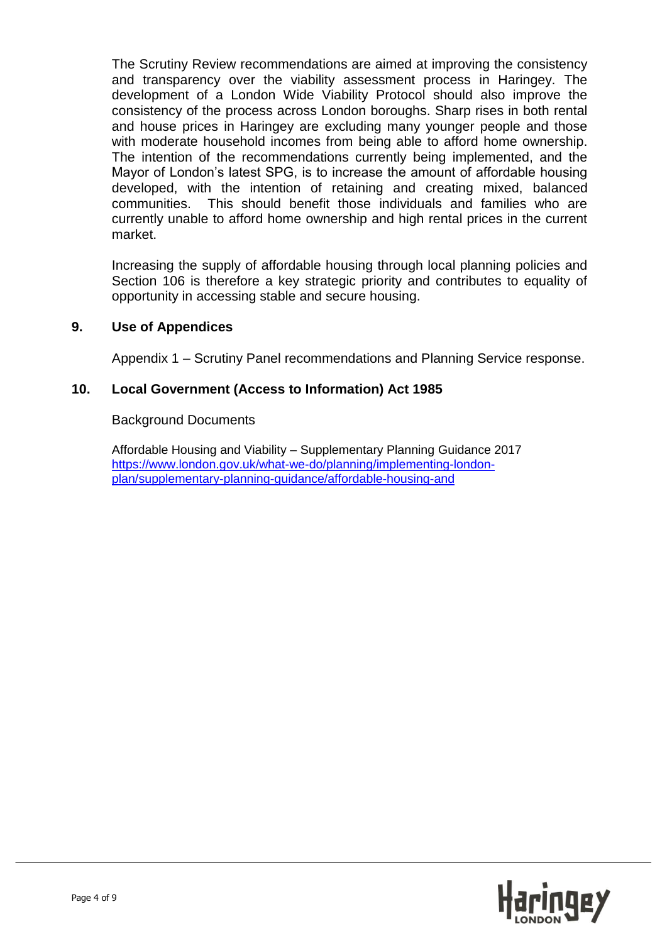The Scrutiny Review recommendations are aimed at improving the consistency and transparency over the viability assessment process in Haringey. The development of a London Wide Viability Protocol should also improve the consistency of the process across London boroughs. Sharp rises in both rental and house prices in Haringey are excluding many younger people and those with moderate household incomes from being able to afford home ownership. The intention of the recommendations currently being implemented, and the Mayor of London's latest SPG, is to increase the amount of affordable housing developed, with the intention of retaining and creating mixed, balanced communities. This should benefit those individuals and families who are currently unable to afford home ownership and high rental prices in the current market.

Increasing the supply of affordable housing through local planning policies and Section 106 is therefore a key strategic priority and contributes to equality of opportunity in accessing stable and secure housing.

## **9. Use of Appendices**

Appendix 1 – Scrutiny Panel recommendations and Planning Service response.

#### **10. Local Government (Access to Information) Act 1985**

#### Background Documents

Affordable Housing and Viability – Supplementary Planning Guidance 2017 [https://www.london.gov.uk/what-we-do/planning/implementing-london](https://www.london.gov.uk/what-we-do/planning/implementing-london-plan/supplementary-planning-guidance/affordable-housing-and)[plan/supplementary-planning-guidance/affordable-housing-and](https://www.london.gov.uk/what-we-do/planning/implementing-london-plan/supplementary-planning-guidance/affordable-housing-and)

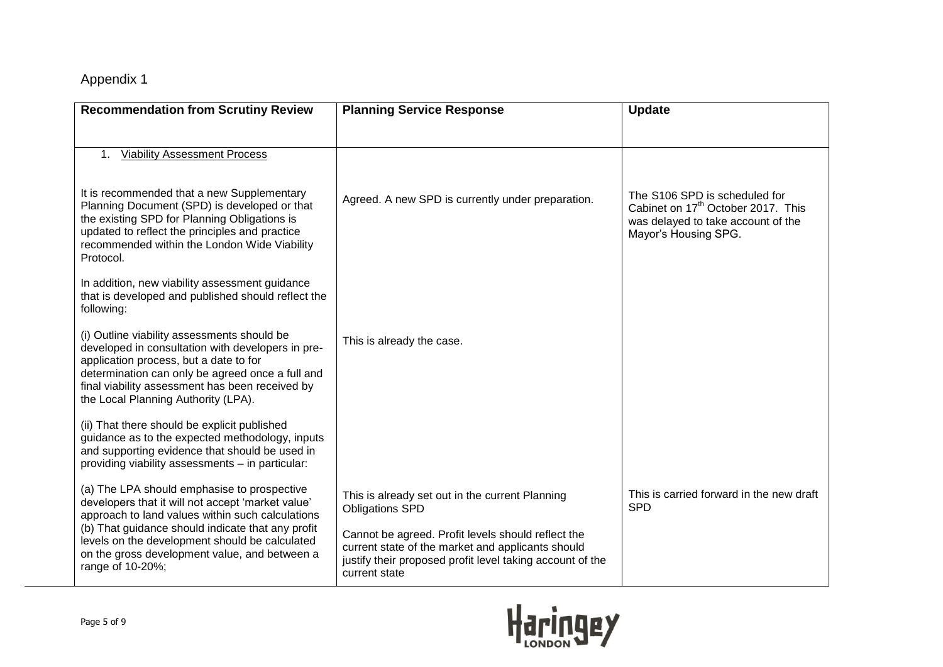# Appendix 1

| <b>Recommendation from Scrutiny Review</b>                                                                                                                                                                                                                                               | <b>Planning Service Response</b>                                                                                                                                                      | <b>Update</b>                                                                                                                                 |
|------------------------------------------------------------------------------------------------------------------------------------------------------------------------------------------------------------------------------------------------------------------------------------------|---------------------------------------------------------------------------------------------------------------------------------------------------------------------------------------|-----------------------------------------------------------------------------------------------------------------------------------------------|
| <b>Viability Assessment Process</b><br>1.                                                                                                                                                                                                                                                |                                                                                                                                                                                       |                                                                                                                                               |
| It is recommended that a new Supplementary<br>Planning Document (SPD) is developed or that<br>the existing SPD for Planning Obligations is<br>updated to reflect the principles and practice<br>recommended within the London Wide Viability<br>Protocol.                                | Agreed. A new SPD is currently under preparation.                                                                                                                                     | The S106 SPD is scheduled for<br>Cabinet on 17 <sup>th</sup> October 2017. This<br>was delayed to take account of the<br>Mayor's Housing SPG. |
| In addition, new viability assessment guidance<br>that is developed and published should reflect the<br>following:                                                                                                                                                                       |                                                                                                                                                                                       |                                                                                                                                               |
| (i) Outline viability assessments should be<br>developed in consultation with developers in pre-<br>application process, but a date to for<br>determination can only be agreed once a full and<br>final viability assessment has been received by<br>the Local Planning Authority (LPA). | This is already the case.                                                                                                                                                             |                                                                                                                                               |
| (ii) That there should be explicit published<br>guidance as to the expected methodology, inputs<br>and supporting evidence that should be used in<br>providing viability assessments - in particular:                                                                                    |                                                                                                                                                                                       |                                                                                                                                               |
| (a) The LPA should emphasise to prospective<br>developers that it will not accept 'market value'<br>approach to land values within such calculations                                                                                                                                     | This is already set out in the current Planning<br><b>Obligations SPD</b>                                                                                                             | This is carried forward in the new draft<br><b>SPD</b>                                                                                        |
| (b) That guidance should indicate that any profit<br>levels on the development should be calculated<br>on the gross development value, and between a<br>range of 10-20%;                                                                                                                 | Cannot be agreed. Profit levels should reflect the<br>current state of the market and applicants should<br>justify their proposed profit level taking account of the<br>current state |                                                                                                                                               |

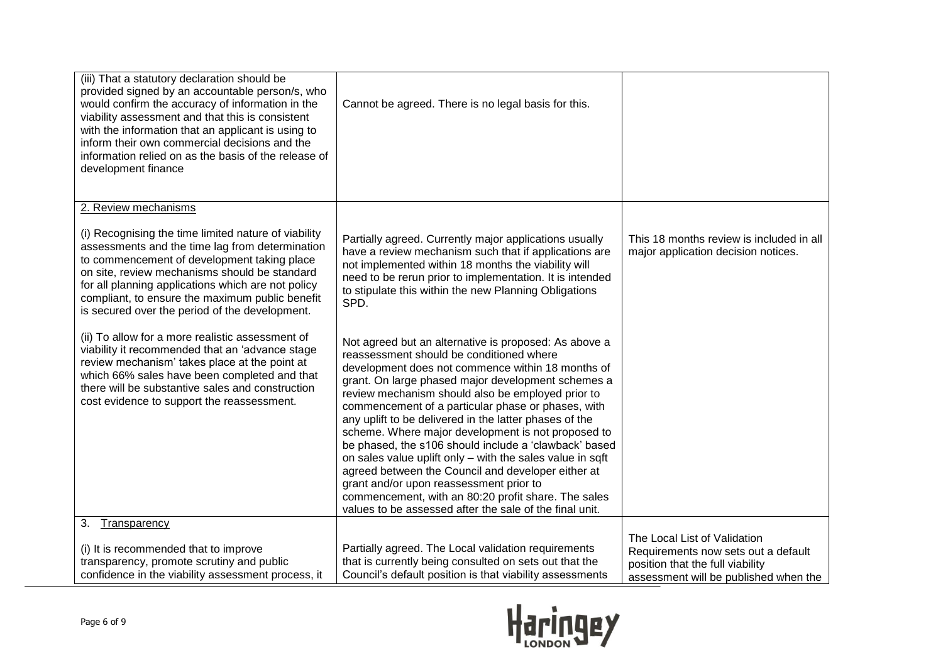| (iii) That a statutory declaration should be<br>provided signed by an accountable person/s, who<br>would confirm the accuracy of information in the<br>viability assessment and that this is consistent<br>with the information that an applicant is using to<br>inform their own commercial decisions and the<br>information relied on as the basis of the release of<br>development finance | Cannot be agreed. There is no legal basis for this.                                                                                                                                                                                                                                                                                                                                                                                                                                                                                                                                                                                                                                                                                                                              |                                                                                 |
|-----------------------------------------------------------------------------------------------------------------------------------------------------------------------------------------------------------------------------------------------------------------------------------------------------------------------------------------------------------------------------------------------|----------------------------------------------------------------------------------------------------------------------------------------------------------------------------------------------------------------------------------------------------------------------------------------------------------------------------------------------------------------------------------------------------------------------------------------------------------------------------------------------------------------------------------------------------------------------------------------------------------------------------------------------------------------------------------------------------------------------------------------------------------------------------------|---------------------------------------------------------------------------------|
| 2. Review mechanisms                                                                                                                                                                                                                                                                                                                                                                          |                                                                                                                                                                                                                                                                                                                                                                                                                                                                                                                                                                                                                                                                                                                                                                                  |                                                                                 |
| (i) Recognising the time limited nature of viability<br>assessments and the time lag from determination<br>to commencement of development taking place<br>on site, review mechanisms should be standard<br>for all planning applications which are not policy<br>compliant, to ensure the maximum public benefit<br>is secured over the period of the development.                            | Partially agreed. Currently major applications usually<br>have a review mechanism such that if applications are<br>not implemented within 18 months the viability will<br>need to be rerun prior to implementation. It is intended<br>to stipulate this within the new Planning Obligations<br>SPD.                                                                                                                                                                                                                                                                                                                                                                                                                                                                              | This 18 months review is included in all<br>major application decision notices. |
| (ii) To allow for a more realistic assessment of<br>viability it recommended that an 'advance stage<br>review mechanism' takes place at the point at<br>which 66% sales have been completed and that<br>there will be substantive sales and construction<br>cost evidence to support the reassessment.                                                                                        | Not agreed but an alternative is proposed: As above a<br>reassessment should be conditioned where<br>development does not commence within 18 months of<br>grant. On large phased major development schemes a<br>review mechanism should also be employed prior to<br>commencement of a particular phase or phases, with<br>any uplift to be delivered in the latter phases of the<br>scheme. Where major development is not proposed to<br>be phased, the s106 should include a 'clawback' based<br>on sales value uplift only - with the sales value in sqft<br>agreed between the Council and developer either at<br>grant and/or upon reassessment prior to<br>commencement, with an 80:20 profit share. The sales<br>values to be assessed after the sale of the final unit. |                                                                                 |
| 3.<br>Transparency                                                                                                                                                                                                                                                                                                                                                                            |                                                                                                                                                                                                                                                                                                                                                                                                                                                                                                                                                                                                                                                                                                                                                                                  | The Local List of Validation                                                    |
| (i) It is recommended that to improve<br>transparency, promote scrutiny and public                                                                                                                                                                                                                                                                                                            | Partially agreed. The Local validation requirements<br>that is currently being consulted on sets out that the                                                                                                                                                                                                                                                                                                                                                                                                                                                                                                                                                                                                                                                                    | Requirements now sets out a default                                             |
| confidence in the viability assessment process, it                                                                                                                                                                                                                                                                                                                                            | Council's default position is that viability assessments                                                                                                                                                                                                                                                                                                                                                                                                                                                                                                                                                                                                                                                                                                                         | position that the full viability<br>assessment will be published when the       |

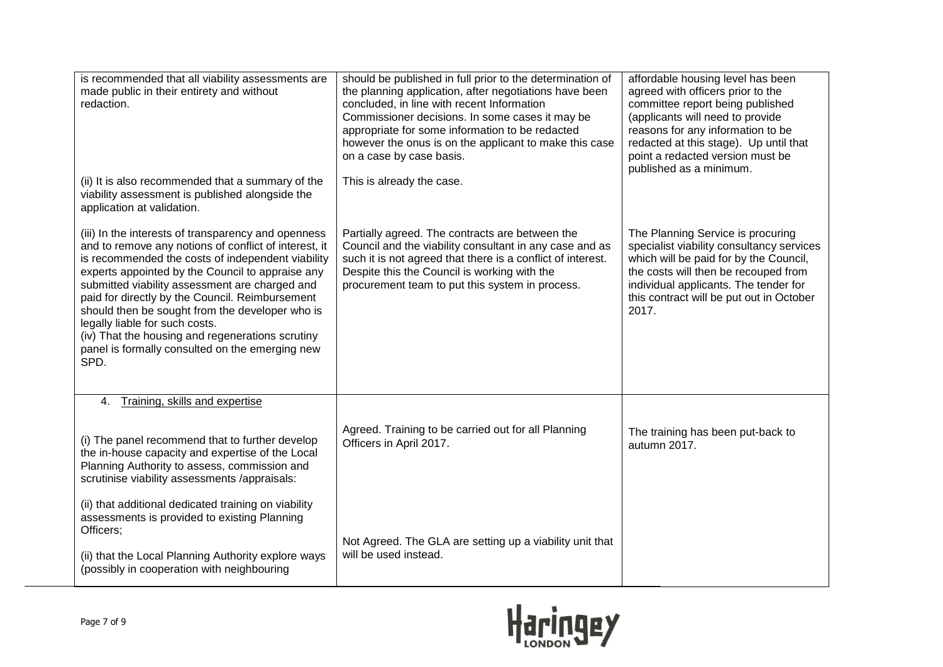| is recommended that all viability assessments are<br>made public in their entirety and without<br>redaction.<br>(ii) It is also recommended that a summary of the<br>viability assessment is published alongside the<br>application at validation.                                                                                                                                                                                                                                                                             | should be published in full prior to the determination of<br>the planning application, after negotiations have been<br>concluded, in line with recent Information<br>Commissioner decisions. In some cases it may be<br>appropriate for some information to be redacted<br>however the onus is on the applicant to make this case<br>on a case by case basis.<br>This is already the case. | affordable housing level has been<br>agreed with officers prior to the<br>committee report being published<br>(applicants will need to provide<br>reasons for any information to be<br>redacted at this stage). Up until that<br>point a redacted version must be<br>published as a minimum. |
|--------------------------------------------------------------------------------------------------------------------------------------------------------------------------------------------------------------------------------------------------------------------------------------------------------------------------------------------------------------------------------------------------------------------------------------------------------------------------------------------------------------------------------|--------------------------------------------------------------------------------------------------------------------------------------------------------------------------------------------------------------------------------------------------------------------------------------------------------------------------------------------------------------------------------------------|----------------------------------------------------------------------------------------------------------------------------------------------------------------------------------------------------------------------------------------------------------------------------------------------|
| (iii) In the interests of transparency and openness<br>and to remove any notions of conflict of interest, it<br>is recommended the costs of independent viability<br>experts appointed by the Council to appraise any<br>submitted viability assessment are charged and<br>paid for directly by the Council. Reimbursement<br>should then be sought from the developer who is<br>legally liable for such costs.<br>(iv) That the housing and regenerations scrutiny<br>panel is formally consulted on the emerging new<br>SPD. | Partially agreed. The contracts are between the<br>Council and the viability consultant in any case and as<br>such it is not agreed that there is a conflict of interest.<br>Despite this the Council is working with the<br>procurement team to put this system in process.                                                                                                               | The Planning Service is procuring<br>specialist viability consultancy services<br>which will be paid for by the Council,<br>the costs will then be recouped from<br>individual applicants. The tender for<br>this contract will be put out in October<br>2017.                               |
| Training, skills and expertise<br>4.<br>(i) The panel recommend that to further develop<br>the in-house capacity and expertise of the Local<br>Planning Authority to assess, commission and<br>scrutinise viability assessments /appraisals:<br>(ii) that additional dedicated training on viability                                                                                                                                                                                                                           | Agreed. Training to be carried out for all Planning<br>Officers in April 2017.                                                                                                                                                                                                                                                                                                             | The training has been put-back to<br>autumn 2017.                                                                                                                                                                                                                                            |
| assessments is provided to existing Planning<br>Officers;<br>(ii) that the Local Planning Authority explore ways<br>(possibly in cooperation with neighbouring                                                                                                                                                                                                                                                                                                                                                                 | Not Agreed. The GLA are setting up a viability unit that<br>will be used instead.                                                                                                                                                                                                                                                                                                          |                                                                                                                                                                                                                                                                                              |

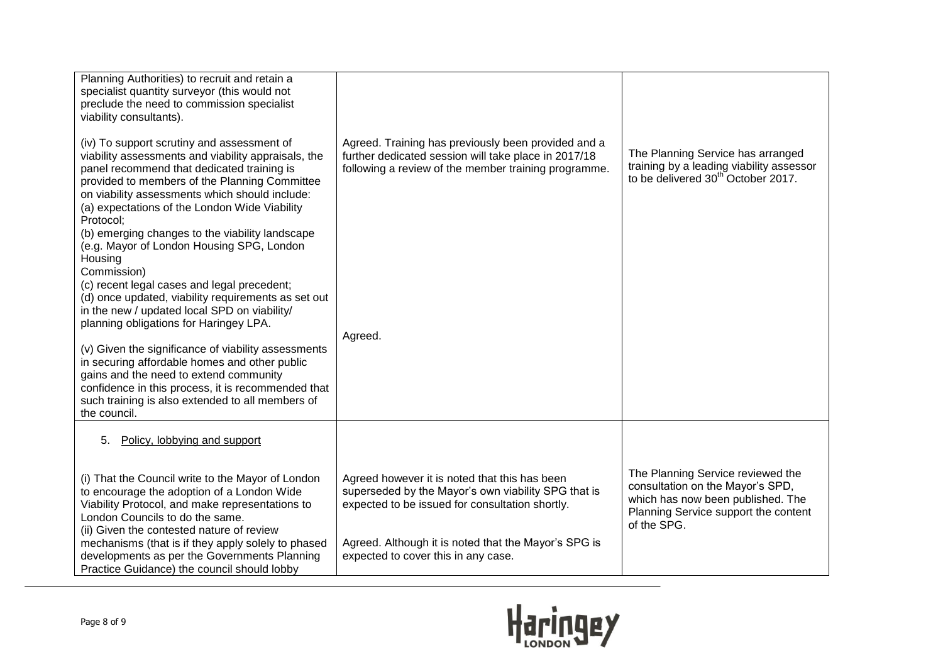| Planning Authorities) to recruit and retain a<br>specialist quantity surveyor (this would not<br>preclude the need to commission specialist<br>viability consultants).<br>(iv) To support scrutiny and assessment of<br>viability assessments and viability appraisals, the<br>panel recommend that dedicated training is<br>provided to members of the Planning Committee<br>on viability assessments which should include:<br>(a) expectations of the London Wide Viability<br>Protocol:<br>(b) emerging changes to the viability landscape<br>(e.g. Mayor of London Housing SPG, London<br>Housing<br>Commission)<br>(c) recent legal cases and legal precedent;<br>(d) once updated, viability requirements as set out<br>in the new / updated local SPD on viability/<br>planning obligations for Haringey LPA.<br>(v) Given the significance of viability assessments<br>in securing affordable homes and other public<br>gains and the need to extend community<br>confidence in this process, it is recommended that<br>such training is also extended to all members of<br>the council. | Agreed. Training has previously been provided and a<br>further dedicated session will take place in 2017/18<br>following a review of the member training programme.<br>Agreed.                                                                         | The Planning Service has arranged<br>training by a leading viability assessor<br>to be delivered 30 <sup>th</sup> October 2017.                                   |
|--------------------------------------------------------------------------------------------------------------------------------------------------------------------------------------------------------------------------------------------------------------------------------------------------------------------------------------------------------------------------------------------------------------------------------------------------------------------------------------------------------------------------------------------------------------------------------------------------------------------------------------------------------------------------------------------------------------------------------------------------------------------------------------------------------------------------------------------------------------------------------------------------------------------------------------------------------------------------------------------------------------------------------------------------------------------------------------------------|--------------------------------------------------------------------------------------------------------------------------------------------------------------------------------------------------------------------------------------------------------|-------------------------------------------------------------------------------------------------------------------------------------------------------------------|
| Policy, lobbying and support<br>5.                                                                                                                                                                                                                                                                                                                                                                                                                                                                                                                                                                                                                                                                                                                                                                                                                                                                                                                                                                                                                                                               |                                                                                                                                                                                                                                                        |                                                                                                                                                                   |
| (i) That the Council write to the Mayor of London<br>to encourage the adoption of a London Wide<br>Viability Protocol, and make representations to<br>London Councils to do the same.<br>(ii) Given the contested nature of review<br>mechanisms (that is if they apply solely to phased<br>developments as per the Governments Planning<br>Practice Guidance) the council should lobby                                                                                                                                                                                                                                                                                                                                                                                                                                                                                                                                                                                                                                                                                                          | Agreed however it is noted that this has been<br>superseded by the Mayor's own viability SPG that is<br>expected to be issued for consultation shortly.<br>Agreed. Although it is noted that the Mayor's SPG is<br>expected to cover this in any case. | The Planning Service reviewed the<br>consultation on the Mayor's SPD,<br>which has now been published. The<br>Planning Service support the content<br>of the SPG. |